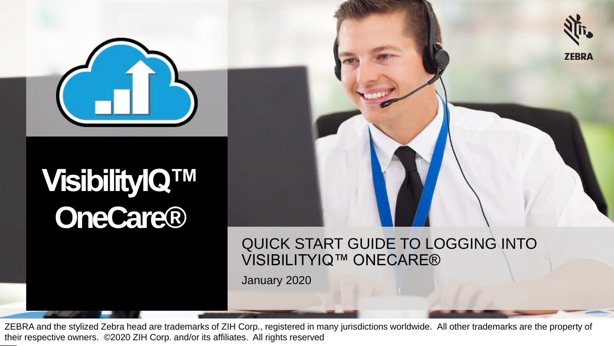

# **VisibilityIQ™ OneCare®**

QUICK START GUIDE TO LOGGING INTO

**ZEBRA** 

VISIBILITYIQ™ ONECARE®

January 2020

ZEBRA and the stylized Zebra head are trademarks of ZIH Corp., registered in many jurisdictions worldwide. All other trademarks are the property of their respective owners. ©2020 ZIH Corp. and/or its affiliates. All rights reserved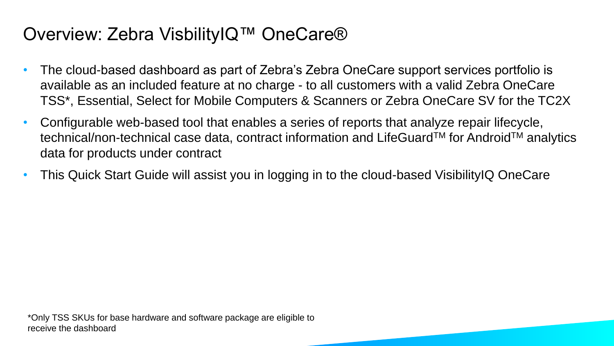#### Overview: Zebra VisbilityIQ™ OneCare®

- The cloud-based dashboard as part of Zebra's Zebra OneCare support services portfolio is available as an included feature at no charge - to all customers with a valid Zebra OneCare TSS\*, Essential, Select for Mobile Computers & Scanners or Zebra OneCare SV for the TC2X
- Configurable web-based tool that enables a series of reports that analyze repair lifecycle, technical/non-technical case data, contract information and LifeGuard<sup>™</sup> for Android™ analytics data for products under contract
- This Quick Start Guide will assist you in logging in to the cloud-based VisibilityIQ OneCare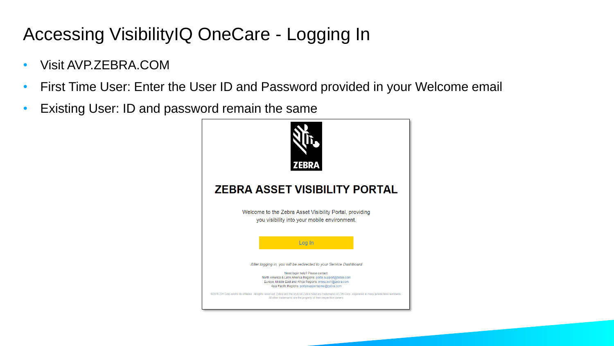# Accessing VisibilityIQ OneCare - Logging In

- Visit AVP.ZEBRA.COM
- First Time User: Enter the User ID and Password provided in your Welcome email
- Existing User: ID and password remain the same

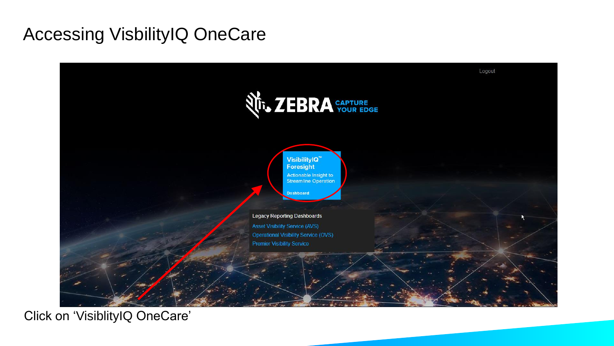#### Accessing VisbilityIQ OneCare



Click on 'VisiblityIQ OneCare'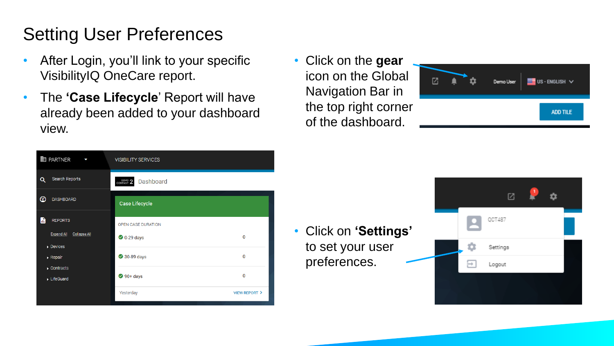# Setting User Preferences

- After Login, you'll link to your specific VisibilityIQ OneCare report.
- The **'Case Lifecycle**' Report will have already been added to your dashboard view.
- Click on the **gear** icon on the Global Navigation Bar in the top right corner of the dashboard.



| <b>HED PARTNER</b><br>C                                              | <b>VISIBILITY SERVICES</b>    |                         |
|----------------------------------------------------------------------|-------------------------------|-------------------------|
| Search Reports<br>Q                                                  | <b>Dashboard</b><br>COMPANY 2 |                         |
| ◎<br><b>DASHBOARD</b>                                                | <b>Case Lifecycle</b>         |                         |
| ħ<br><b>REPORTS</b>                                                  | OPEN CASE DURATION            |                         |
| <b>Expand All</b><br><b>Collapse All</b><br>$\triangleright$ Devices | $\bigcirc$ 0-29 days          | 0                       |
| $\triangleright$ Repair                                              | <b>◆ 30-89 days</b>           | 0                       |
| $\triangleright$ Contracts<br>LifeGuard                              | $90 + days$                   | 0                       |
|                                                                      | Yesterday                     | <b>VIEW REPORT &gt;</b> |

• Click on **'Settings'**  to set your user preferences.

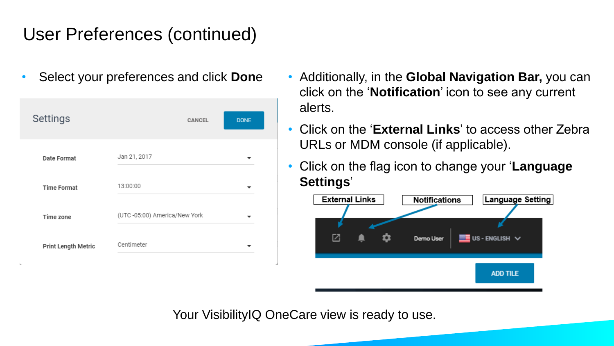#### User Preferences (continued)

| Settings                   | <b>CANCEL</b>                | <b>DONE</b> |
|----------------------------|------------------------------|-------------|
| Date Format                | Jan 21, 2017                 |             |
| <b>Time Format</b>         | 13:00:00                     |             |
| Time zone                  | (UTC-05:00) America/New York |             |
| <b>Print Length Metric</b> | Centimeter                   |             |

- Select your preferences and click **Don**e Additionally, in the **Global Navigation Bar,** you can click on the '**Notification**' icon to see any current alerts.
	- Click on the '**External Links**' to access other Zebra URLs or MDM console (if applicable).
	- Click on the flag icon to change your '**Language Settings**'



Your VisibilityIQ OneCare view is ready to use.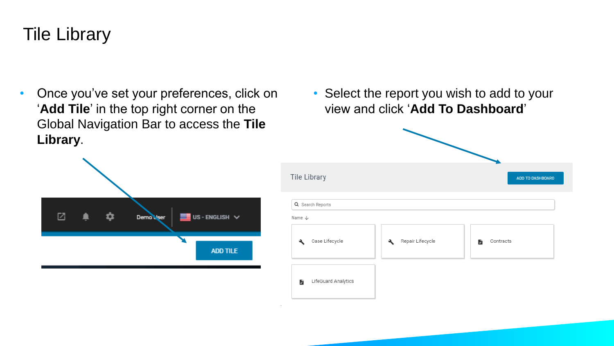#### Tile Library

М

• Once you've set your preferences, click on '**Add Tile**' in the top right corner on the Global Navigation Bar to access the **Tile Library**.

Demo<sup>bi</sup>ser

**ME** US - ENGL

• Select the report you wish to add to your view and click '**Add To Dashboard**'

| <b>Tile Library</b>                   |                                            | ADD TO DASHBOARD |
|---------------------------------------|--------------------------------------------|------------------|
| Q Search Reports<br>Name $\downarrow$ |                                            |                  |
| Case Lifecycle<br>$\lambda$           | Repair Lifecycle<br>$\boldsymbol{\lambda}$ | Contracts<br>В   |
| LifeGuard Analytics<br>Ы              |                                            |                  |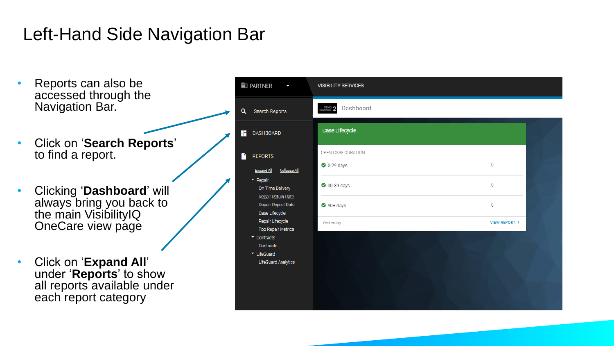### Left-Hand Side Navigation Bar

- Reports can also be accessed through the Navigation Bar.
- Click on '**Search Reports**' to find a report.
- Clicking '**Dashboard**' will always bring you back to the main VisibilityIQ OneCare view page
- Click on '**Expand All**' under '**Reports**' to show all reports available under each report category

| <b>ED PARTNER</b><br>۶                                                                        | <b>VISIBILITY SERVICES</b>      |               |
|-----------------------------------------------------------------------------------------------|---------------------------------|---------------|
| Q<br>Search Reports                                                                           | Dashboard<br>DEMO <sub>2</sub>  |               |
| <b>DASHBOARD</b>                                                                              | Case Lifecycle                  |               |
| <b>REPORTS</b><br><b>Expand All</b><br>Collapse All                                           | OPEN CASE DURATION<br>0-29 days | 0             |
| $\blacktriangleright$ Repair<br>On Time Delivery                                              | 30-89 days                      | 0             |
| Repair Return Rate<br>Repair Repeat Rate<br>Case Lifecycle                                    | $90 + \text{days}$              | 0             |
| Repair Lifecycle<br><b>Top Repair Metrics</b><br>$\sim$ Contracts<br>Contracts<br>▼ LifeGuard | Yesterday                       | VIEW REPORT > |
| <b>LifeGuard Analytics</b>                                                                    |                                 |               |
|                                                                                               |                                 |               |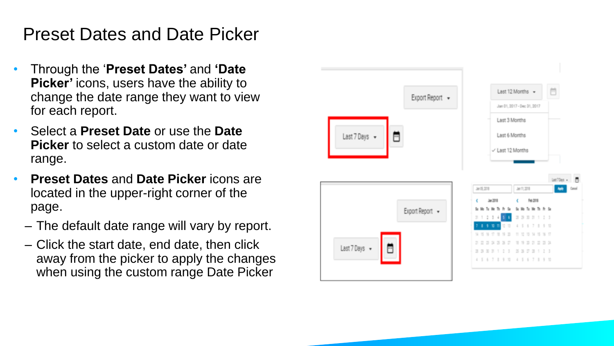#### Preset Dates and Date Picker

- Through the '**Preset Dates'** and **'Date Picker'** icons, users have the ability to change the date range they want to view for each report.
- Select a **Preset Date** or use the **Date Picker** to select a custom date or date range.
- **Preset Dates** and **Date Picker** icons are located in the upper-right corner of the page.
	- The default date range will vary by report.
	- Click the start date, end date, then click away from the picker to apply the changes when using the custom range Date Picker

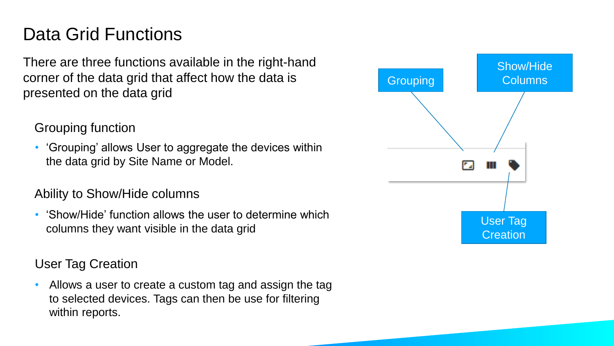## Data Grid Functions

There are three functions available in the right-hand corner of the data grid that affect how the data is presented on the data grid

Grouping function

• 'Grouping' allows User to aggregate the devices within the data grid by Site Name or Model.

#### Ability to Show/Hide columns

• 'Show/Hide' function allows the user to determine which columns they want visible in the data grid

User Tag Creation

• Allows a user to create a custom tag and assign the tag to selected devices. Tags can then be use for filtering within reports.

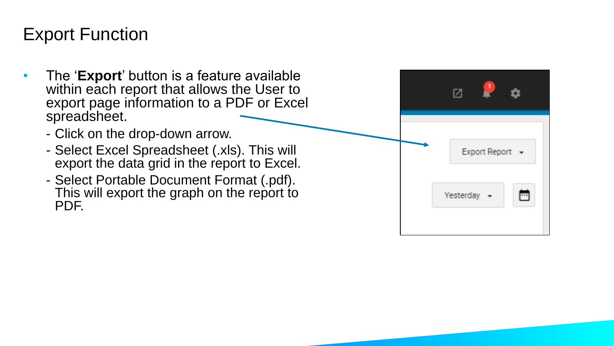#### Export Function

- The '**Export**' button is a feature available within each report that allows the User to export page information to a PDF or Excel spreadsheet.
	- Click on the drop-down arrow.
	- Select Excel Spreadsheet (.xls). This will export the data grid in the report to Excel.
	- Select Portable Document Format (.pdf). This will export the graph on the report to PDF.

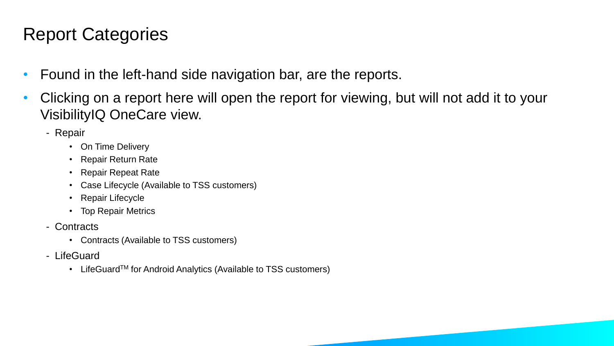## Report Categories

- Found in the left-hand side navigation bar, are the reports.
- Clicking on a report here will open the report for viewing, but will not add it to your VisibilityIQ OneCare view.
	- Repair
		- On Time Delivery
		- Repair Return Rate
		- Repair Repeat Rate
		- Case Lifecycle (Available to TSS customers)
		- Repair Lifecycle
		- Top Repair Metrics
	- Contracts
		- Contracts (Available to TSS customers)
	- LifeGuard
		- LifeGuard<sup>TM</sup> for Android Analytics (Available to TSS customers)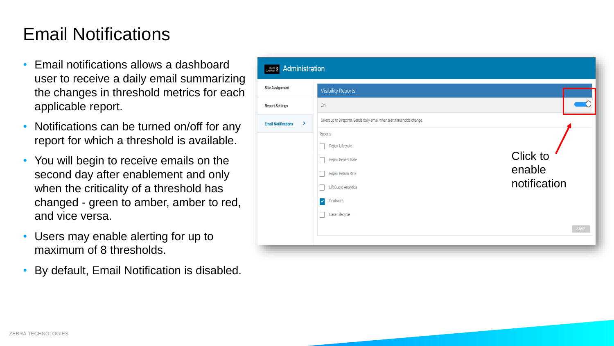#### Email Notifications

- Email notifications allows a dashboard user to receive a daily email summarizing the changes in threshold metrics for each applicable report.
- Notifications can be turned on/off for any report for which a threshold is available.
- You will begin to receive emails on the second day after enablement and only when the criticality of a threshold has changed - green to amber, amber to red, and vice versa.
- Users may enable alerting for up to maximum of 8 thresholds.
- By default, Email Notification is disabled.

| Administration<br>DEMO <sub>2</sub> |                                                                                                                                                      |                                    |
|-------------------------------------|------------------------------------------------------------------------------------------------------------------------------------------------------|------------------------------------|
| <b>Site Assignment</b>              | <b>Visibility Reports</b>                                                                                                                            |                                    |
| <b>Report Settings</b>              | On                                                                                                                                                   |                                    |
| ٠<br><b>Email Notifications</b>     | Select up to 8 reports. Sends daily email when alert thresholds change.                                                                              |                                    |
|                                     | Reports<br>Repair Lifecycle<br>Repair Repeat Rate<br>Repair Return Rate<br><b>LifeGuard Analytics</b><br>Contracts<br>$\checkmark$<br>Case Lifecycle | Click to<br>enable<br>notification |
|                                     |                                                                                                                                                      | SAVE                               |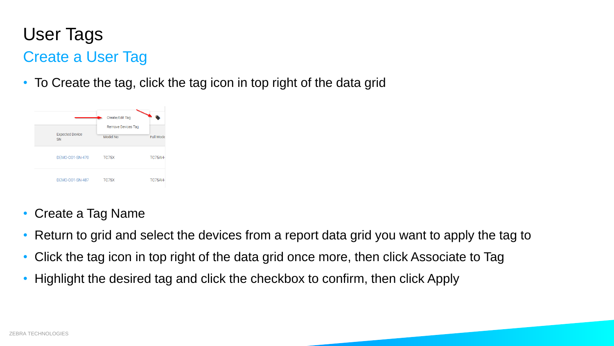# User Tags

#### Create a User Tag

• To Create the tag, click the tag icon in top right of the data grid



- Create a Tag Name
- Return to grid and select the devices from a report data grid you want to apply the tag to
- Click the tag icon in top right of the data grid once more, then click Associate to Tag
- Highlight the desired tag and click the checkbox to confirm, then click Apply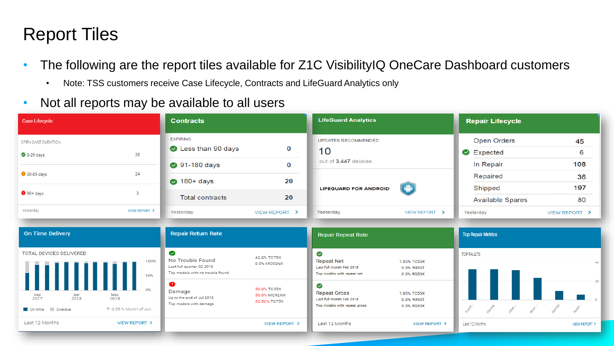#### Report Tiles

- The following are the report tiles available for Z1C VisibilityIQ OneCare Dashboard customers
	- Note: TSS customers receive Case Lifecycle, Contracts and LifeGuard Analytics only
- Not all reports may be available to all users

| <b>Case Lifecycle</b>                                                                 | <b>Contracts</b>                                                                                                             | <b>LifeGuard Analytics</b>                                                                                                          | <b>Repair Lifecycle</b>                                     |
|---------------------------------------------------------------------------------------|------------------------------------------------------------------------------------------------------------------------------|-------------------------------------------------------------------------------------------------------------------------------------|-------------------------------------------------------------|
| OPEN CASE DURATION                                                                    | <b>EXPIRING</b><br>Less than 90 days                                                                                         | <b>UPDATES RECOMMENDED</b><br>0                                                                                                     | Open Orders<br>45                                           |
| 38<br>$\bigcirc$ 0-29 days                                                            |                                                                                                                              | 10<br>out of 3,447 devices                                                                                                          | 6<br>Expected                                               |
| 24<br>30-89 days                                                                      | ● 91-180 days                                                                                                                | $\bf{0}$                                                                                                                            | 108<br>In Repair                                            |
|                                                                                       | $\bigcirc$ 180+ days                                                                                                         | 20                                                                                                                                  | Repaired<br>36                                              |
| 3<br>$90+days$                                                                        | <b>Total contracts</b>                                                                                                       | $\hat{\P}$<br><b>LIFEGUARD FOR ANDROID</b><br>20                                                                                    | 197<br>Shipped                                              |
| VIEW REPORT ><br>Yesterday                                                            | Yesterday<br>VIEW REPORT >                                                                                                   | Yesterday<br>VIEW REPORT >                                                                                                          | 80<br><b>Available Spares</b><br>Yesterday<br>VIEW REPORT > |
| <b>On Time Delivery</b>                                                               | <b>Repair Return Rate</b>                                                                                                    | <b>Repair Repeat Rate</b>                                                                                                           | <b>Top Repair Metrics</b>                                   |
|                                                                                       |                                                                                                                              |                                                                                                                                     |                                                             |
| TOTAL DEVICES DELIVERED<br>100%<br>50%                                                | $\bullet$<br>42.2% TC75X<br>No Trouble Found<br>0.0% MC92NX<br>Last full quarter Q2 2018<br>Top models with no trouble found | $\bullet$<br><b>Repeat Net</b><br>1.85% TC55X<br>Last full month Feb 2018<br>0.0% WRIST<br>Top models with repeat net<br>0.0% RS50X | TOP FAULTS<br>40                                            |
| May<br>2018<br>Sep<br>2017<br>Jan<br>2018<br>On time Overdue<br>↑ 0.55 % Month of Jun | $\bullet$<br>50.0% TC55X<br>Damage<br>50.0% MC92NX<br>Up to the end of Jul 2018<br>32.52% TC75X<br>Top models with damage    | ◙<br><b>Repeat Gross</b><br>1.85% TC55X<br>Last full month Feb 2018<br>0.0% WRIST<br>Top models with repeat gross<br>0.0% RS50X     | 20                                                          |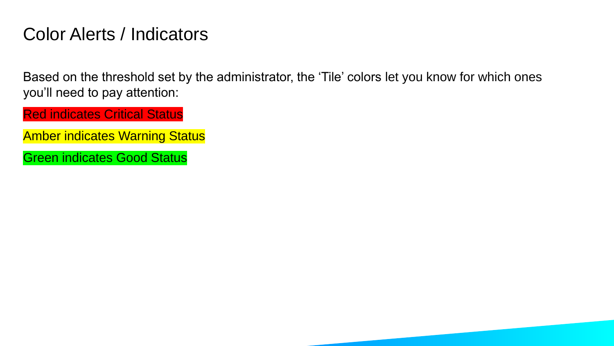#### Color Alerts / Indicators

Based on the threshold set by the administrator, the 'Tile' colors let you know for which ones you'll need to pay attention:

Red indicates Critical Status

- Amber indicates Warning Status
- Green indicates Good Status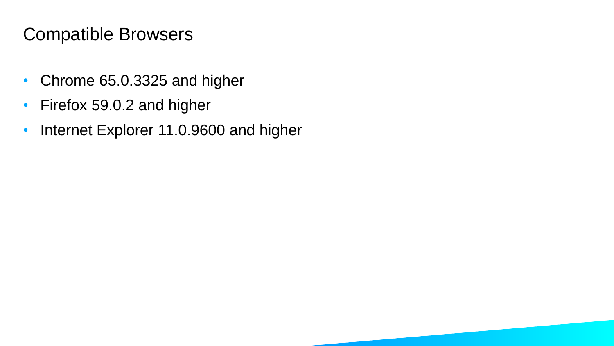### Compatible Browsers

- Chrome 65.0.3325 and higher
- Firefox 59.0.2 and higher
- Internet Explorer 11.0.9600 and higher